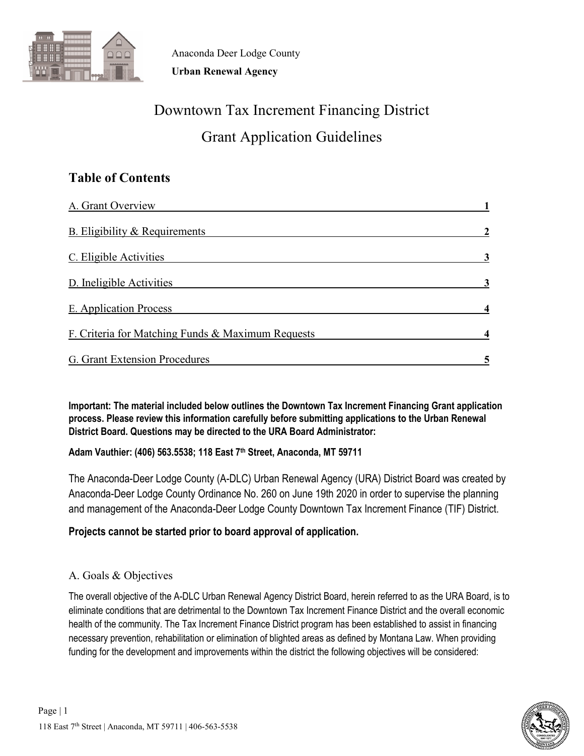

# Downtown Tax Increment Financing District Grant Application Guidelines

# **Table of Contents**

| A. Grant Overview                                 |  |
|---------------------------------------------------|--|
| B. Eligibility & Requirements                     |  |
| C. Eligible Activities                            |  |
| D. Ineligible Activities                          |  |
| E. Application Process                            |  |
| F. Criteria for Matching Funds & Maximum Requests |  |
| G. Grant Extension Procedures                     |  |

**Important: The material included below outlines the Downtown Tax Increment Financing Grant application process. Please review this information carefully before submitting applications to the Urban Renewal District Board. Questions may be directed to the URA Board Administrator:** 

**Adam Vauthier: (406) 563.5538; 118 East 7th Street, Anaconda, MT 59711**

The Anaconda-Deer Lodge County (A-DLC) Urban Renewal Agency (URA) District Board was created by Anaconda-Deer Lodge County Ordinance No. 260 on June 19th 2020 in order to supervise the planning and management of the Anaconda-Deer Lodge County Downtown Tax Increment Finance (TIF) District.

# **Projects cannot be started prior to board approval of application.**

# A. Goals & Objectives

The overall objective of the A-DLC Urban Renewal Agency District Board, herein referred to as the URA Board, is to eliminate conditions that are detrimental to the Downtown Tax Increment Finance District and the overall economic health of the community. The Tax Increment Finance District program has been established to assist in financing necessary prevention, rehabilitation or elimination of blighted areas as defined by Montana Law. When providing funding for the development and improvements within the district the following objectives will be considered:

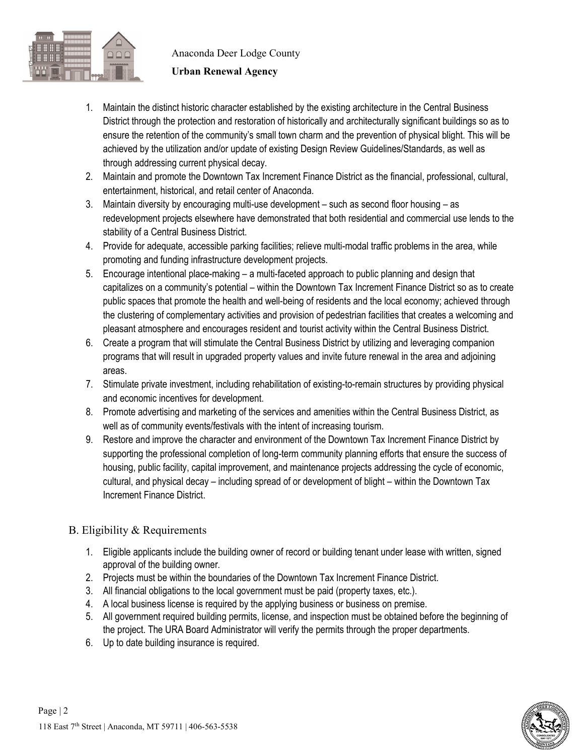

#### **Urban Renewal Agency**

- 1. Maintain the distinct historic character established by the existing architecture in the Central Business District through the protection and restoration of historically and architecturally significant buildings so as to ensure the retention of the community's small town charm and the prevention of physical blight. This will be achieved by the utilization and/or update of existing Design Review Guidelines/Standards, as well as through addressing current physical decay.
- 2. Maintain and promote the Downtown Tax Increment Finance District as the financial, professional, cultural, entertainment, historical, and retail center of Anaconda.
- 3. Maintain diversity by encouraging multi-use development such as second floor housing as redevelopment projects elsewhere have demonstrated that both residential and commercial use lends to the stability of a Central Business District.
- 4. Provide for adequate, accessible parking facilities; relieve multi-modal traffic problems in the area, while promoting and funding infrastructure development projects.
- 5. Encourage intentional place-making a multi-faceted approach to public planning and design that capitalizes on a community's potential – within the Downtown Tax Increment Finance District so as to create public spaces that promote the health and well-being of residents and the local economy; achieved through the clustering of complementary activities and provision of pedestrian facilities that creates a welcoming and pleasant atmosphere and encourages resident and tourist activity within the Central Business District.
- 6. Create a program that will stimulate the Central Business District by utilizing and leveraging companion programs that will result in upgraded property values and invite future renewal in the area and adjoining areas.
- 7. Stimulate private investment, including rehabilitation of existing-to-remain structures by providing physical and economic incentives for development.
- 8. Promote advertising and marketing of the services and amenities within the Central Business District, as well as of community events/festivals with the intent of increasing tourism.
- 9. Restore and improve the character and environment of the Downtown Tax Increment Finance District by supporting the professional completion of long-term community planning efforts that ensure the success of housing, public facility, capital improvement, and maintenance projects addressing the cycle of economic, cultural, and physical decay – including spread of or development of blight – within the Downtown Tax Increment Finance District.

# B. Eligibility & Requirements

- 1. Eligible applicants include the building owner of record or building tenant under lease with written, signed approval of the building owner.
- 2. Projects must be within the boundaries of the Downtown Tax Increment Finance District.
- 3. All financial obligations to the local government must be paid (property taxes, etc.).
- 4. A local business license is required by the applying business or business on premise.
- 5. All government required building permits, license, and inspection must be obtained before the beginning of the project. The URA Board Administrator will verify the permits through the proper departments.
- 6. Up to date building insurance is required.

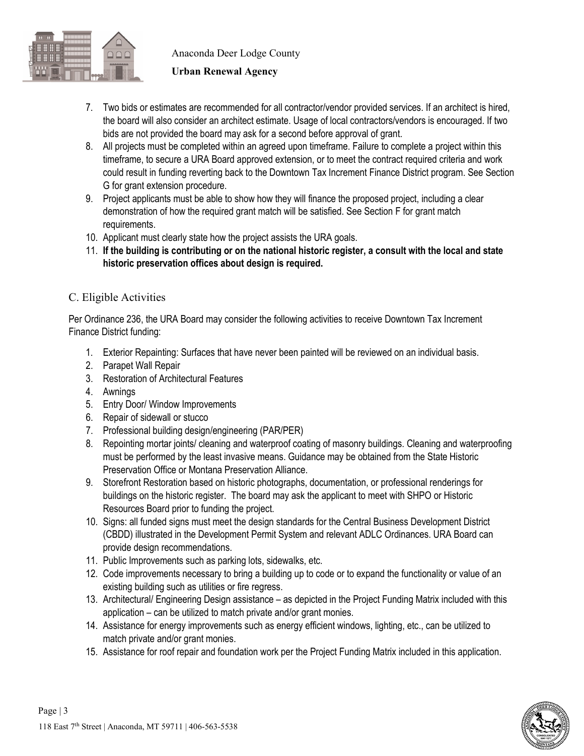

#### **Urban Renewal Agency**

- 7. Two bids or estimates are recommended for all contractor/vendor provided services. If an architect is hired, the board will also consider an architect estimate. Usage of local contractors/vendors is encouraged. If two bids are not provided the board may ask for a second before approval of grant.
- 8. All projects must be completed within an agreed upon timeframe. Failure to complete a project within this timeframe, to secure a URA Board approved extension, or to meet the contract required criteria and work could result in funding reverting back to the Downtown Tax Increment Finance District program. See Section G for grant extension procedure.
- 9. Project applicants must be able to show how they will finance the proposed project, including a clear demonstration of how the required grant match will be satisfied. See Section F for grant match requirements.
- 10. Applicant must clearly state how the project assists the URA goals.
- 11. **If the building is contributing or on the national historic register, a consult with the local and state historic preservation offices about design is required.**

### C. Eligible Activities

Per Ordinance 236, the URA Board may consider the following activities to receive Downtown Tax Increment Finance District funding:

- 1. Exterior Repainting: Surfaces that have never been painted will be reviewed on an individual basis.
- 2. Parapet Wall Repair
- 3. Restoration of Architectural Features
- 4. Awnings
- 5. Entry Door/ Window Improvements
- 6. Repair of sidewall or stucco
- 7. Professional building design/engineering (PAR/PER)
- 8. Repointing mortar joints/ cleaning and waterproof coating of masonry buildings. Cleaning and waterproofing must be performed by the least invasive means. Guidance may be obtained from the State Historic Preservation Office or Montana Preservation Alliance.
- 9. Storefront Restoration based on historic photographs, documentation, or professional renderings for buildings on the historic register. The board may ask the applicant to meet with SHPO or Historic Resources Board prior to funding the project.
- 10. Signs: all funded signs must meet the design standards for the Central Business Development District (CBDD) illustrated in the Development Permit System and relevant ADLC Ordinances. URA Board can provide design recommendations.
- 11. Public Improvements such as parking lots, sidewalks, etc.
- 12. Code improvements necessary to bring a building up to code or to expand the functionality or value of an existing building such as utilities or fire regress.
- 13. Architectural/ Engineering Design assistance as depicted in the Project Funding Matrix included with this application – can be utilized to match private and/or grant monies.
- 14. Assistance for energy improvements such as energy efficient windows, lighting, etc., can be utilized to match private and/or grant monies.
- 15. Assistance for roof repair and foundation work per the Project Funding Matrix included in this application.

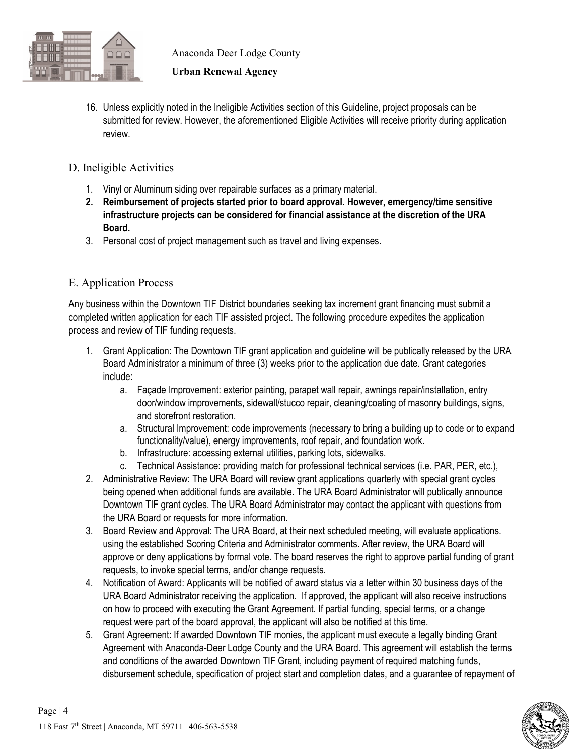

#### **Urban Renewal Agency**

- 16. Unless explicitly noted in the Ineligible Activities section of this Guideline, project proposals can be submitted for review. However, the aforementioned Eligible Activities will receive priority during application review.
- D. Ineligible Activities
	- 1. Vinyl or Aluminum siding over repairable surfaces as a primary material.
	- **2. Reimbursement of projects started prior to board approval. However, emergency/time sensitive infrastructure projects can be considered for financial assistance at the discretion of the URA Board.**
	- 3. Personal cost of project management such as travel and living expenses.

#### E. Application Process

Any business within the Downtown TIF District boundaries seeking tax increment grant financing must submit a completed written application for each TIF assisted project. The following procedure expedites the application process and review of TIF funding requests.

- 1. Grant Application: The Downtown TIF grant application and guideline will be publically released by the URA Board Administrator a minimum of three (3) weeks prior to the application due date. Grant categories include:
	- a. Façade Improvement: exterior painting, parapet wall repair, awnings repair/installation, entry door/window improvements, sidewall/stucco repair, cleaning/coating of masonry buildings, signs, and storefront restoration.
	- a. Structural Improvement: code improvements (necessary to bring a building up to code or to expand functionality/value), energy improvements, roof repair, and foundation work.
	- b. Infrastructure: accessing external utilities, parking lots, sidewalks.
	- c. Technical Assistance: providing match for professional technical services (i.e. PAR, PER, etc.),
- 2. Administrative Review: The URA Board will review grant applications quarterly with special grant cycles being opened when additional funds are available. The URA Board Administrator will publically announce Downtown TIF grant cycles. The URA Board Administrator may contact the applicant with questions from the URA Board or requests for more information.
- 3. Board Review and Approval: The URA Board, at their next scheduled meeting, will evaluate applications. using the established Scoring Criteria and Administrator comments. After review, the URA Board will approve or deny applications by formal vote. The board reserves the right to approve partial funding of grant requests, to invoke special terms, and/or change requests.
- 4. Notification of Award: Applicants will be notified of award status via a letter within 30 business days of the URA Board Administrator receiving the application. If approved, the applicant will also receive instructions on how to proceed with executing the Grant Agreement. If partial funding, special terms, or a change request were part of the board approval, the applicant will also be notified at this time.
- 5. Grant Agreement: If awarded Downtown TIF monies, the applicant must execute a legally binding Grant Agreement with Anaconda-Deer Lodge County and the URA Board. This agreement will establish the terms and conditions of the awarded Downtown TIF Grant, including payment of required matching funds, disbursement schedule, specification of project start and completion dates, and a guarantee of repayment of

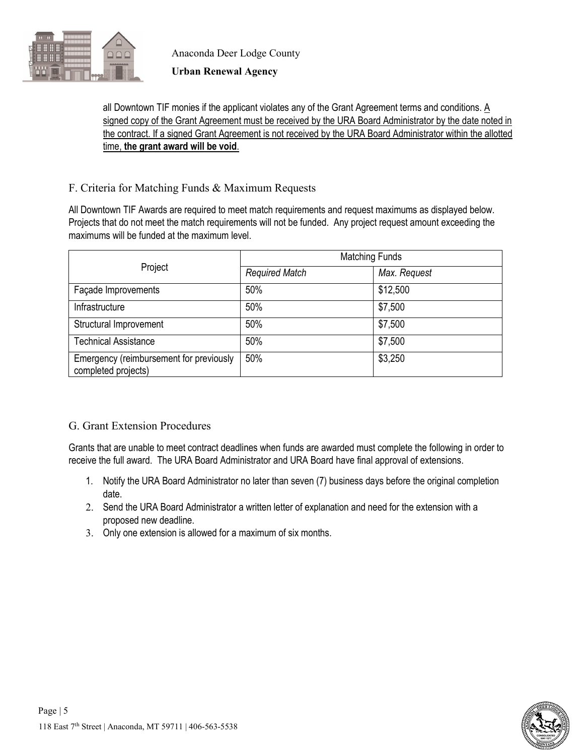

#### **Urban Renewal Agency**

#### all Downtown TIF monies if the applicant violates any of the Grant Agreement terms and conditions. A signed copy of the Grant Agreement must be received by the URA Board Administrator by the date noted in the contract. If a signed Grant Agreement is not received by the URA Board Administrator within the allotted time, **the grant award will be void**.

#### F. Criteria for Matching Funds & Maximum Requests

All Downtown TIF Awards are required to meet match requirements and request maximums as displayed below. Projects that do not meet the match requirements will not be funded. Any project request amount exceeding the maximums will be funded at the maximum level.

|                                                                | <b>Matching Funds</b> |              |  |
|----------------------------------------------------------------|-----------------------|--------------|--|
| Project                                                        | <b>Required Match</b> | Max. Request |  |
| Façade Improvements                                            | 50%                   | \$12,500     |  |
| Infrastructure                                                 | 50%                   | \$7,500      |  |
| Structural Improvement                                         | 50%                   | \$7,500      |  |
| <b>Technical Assistance</b>                                    | 50%                   | \$7,500      |  |
| Emergency (reimbursement for previously<br>completed projects) | 50%                   | \$3,250      |  |

# G. Grant Extension Procedures

Grants that are unable to meet contract deadlines when funds are awarded must complete the following in order to receive the full award. The URA Board Administrator and URA Board have final approval of extensions.

- 1. Notify the URA Board Administrator no later than seven (7) business days before the original completion date.
- 2. Send the URA Board Administrator a written letter of explanation and need for the extension with a proposed new deadline.
- 3. Only one extension is allowed for a maximum of six months.